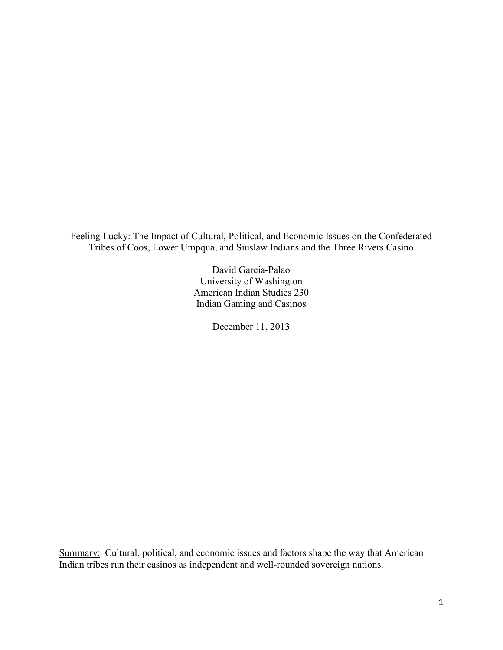Feeling Lucky: The Impact of Cultural, Political, and Economic Issues on the Confederated Tribes of Coos, Lower Umpqua, and Siuslaw Indians and the Three Rivers Casino

> David Garcia-Palao University of Washington American Indian Studies 230 Indian Gaming and Casinos

> > December 11, 2013

Summary: Cultural, political, and economic issues and factors shape the way that American Indian tribes run their casinos as independent and well-rounded sovereign nations.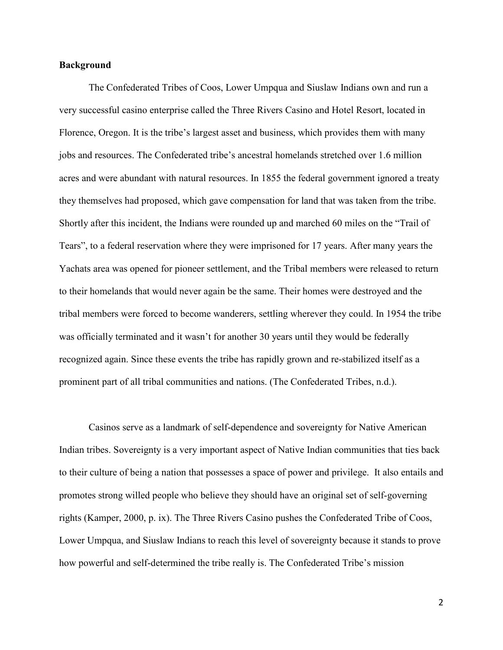# Background

The Confederated Tribes of Coos, Lower Umpqua and Siuslaw Indians own and run a very successful casino enterprise called the Three Rivers Casino and Hotel Resort, located in Florence, Oregon. It is the tribe's largest asset and business, which provides them with many jobs and resources. The Confederated tribe's ancestral homelands stretched over 1.6 million acres and were abundant with natural resources. In 1855 the federal government ignored a treaty they themselves had proposed, which gave compensation for land that was taken from the tribe. Shortly after this incident, the Indians were rounded up and marched 60 miles on the "Trail of Tears", to a federal reservation where they were imprisoned for 17 years. After many years the Yachats area was opened for pioneer settlement, and the Tribal members were released to return to their homelands that would never again be the same. Their homes were destroyed and the tribal members were forced to become wanderers, settling wherever they could. In 1954 the tribe was officially terminated and it wasn't for another 30 years until they would be federally recognized again. Since these events the tribe has rapidly grown and re-stabilized itself as a prominent part of all tribal communities and nations. (The Confederated Tribes, n.d.).

Casinos serve as a landmark of self-dependence and sovereignty for Native American Indian tribes. Sovereignty is a very important aspect of Native Indian communities that ties back to their culture of being a nation that possesses a space of power and privilege. It also entails and promotes strong willed people who believe they should have an original set of self-governing rights (Kamper, 2000, p. ix). The Three Rivers Casino pushes the Confederated Tribe of Coos, Lower Umpqua, and Siuslaw Indians to reach this level of sovereignty because it stands to prove how powerful and self-determined the tribe really is. The Confederated Tribe's mission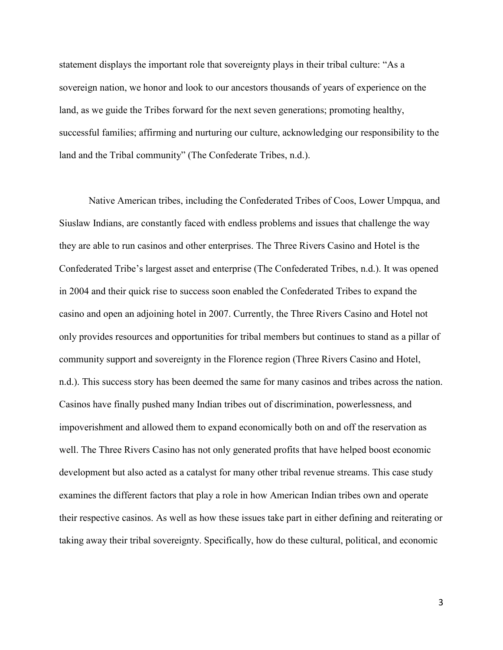statement displays the important role that sovereignty plays in their tribal culture: "As a sovereign nation, we honor and look to our ancestors thousands of years of experience on the land, as we guide the Tribes forward for the next seven generations; promoting healthy, successful families; affirming and nurturing our culture, acknowledging our responsibility to the land and the Tribal community" (The Confederate Tribes, n.d.).

Native American tribes, including the Confederated Tribes of Coos, Lower Umpqua, and Siuslaw Indians, are constantly faced with endless problems and issues that challenge the way they are able to run casinos and other enterprises. The Three Rivers Casino and Hotel is the Confederated Tribe's largest asset and enterprise (The Confederated Tribes, n.d.). It was opened in 2004 and their quick rise to success soon enabled the Confederated Tribes to expand the casino and open an adjoining hotel in 2007. Currently, the Three Rivers Casino and Hotel not only provides resources and opportunities for tribal members but continues to stand as a pillar of community support and sovereignty in the Florence region (Three Rivers Casino and Hotel, n.d.). This success story has been deemed the same for many casinos and tribes across the nation. Casinos have finally pushed many Indian tribes out of discrimination, powerlessness, and impoverishment and allowed them to expand economically both on and off the reservation as well. The Three Rivers Casino has not only generated profits that have helped boost economic development but also acted as a catalyst for many other tribal revenue streams. This case study examines the different factors that play a role in how American Indian tribes own and operate their respective casinos. As well as how these issues take part in either defining and reiterating or taking away their tribal sovereignty. Specifically, how do these cultural, political, and economic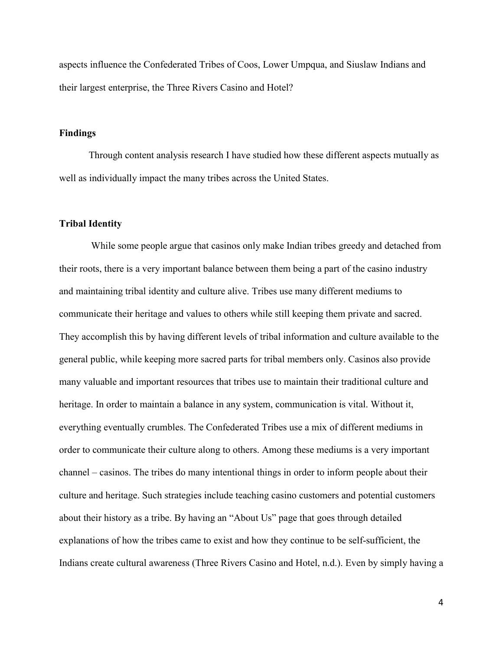aspects influence the Confederated Tribes of Coos, Lower Umpqua, and Siuslaw Indians and their largest enterprise, the Three Rivers Casino and Hotel?

# Findings

Through content analysis research I have studied how these different aspects mutually as well as individually impact the many tribes across the United States.

# Tribal Identity

While some people argue that casinos only make Indian tribes greedy and detached from their roots, there is a very important balance between them being a part of the casino industry and maintaining tribal identity and culture alive. Tribes use many different mediums to communicate their heritage and values to others while still keeping them private and sacred. They accomplish this by having different levels of tribal information and culture available to the general public, while keeping more sacred parts for tribal members only. Casinos also provide many valuable and important resources that tribes use to maintain their traditional culture and heritage. In order to maintain a balance in any system, communication is vital. Without it, everything eventually crumbles. The Confederated Tribes use a mix of different mediums in order to communicate their culture along to others. Among these mediums is a very important channel – casinos. The tribes do many intentional things in order to inform people about their culture and heritage. Such strategies include teaching casino customers and potential customers about their history as a tribe. By having an "About Us" page that goes through detailed explanations of how the tribes came to exist and how they continue to be self-sufficient, the Indians create cultural awareness (Three Rivers Casino and Hotel, n.d.). Even by simply having a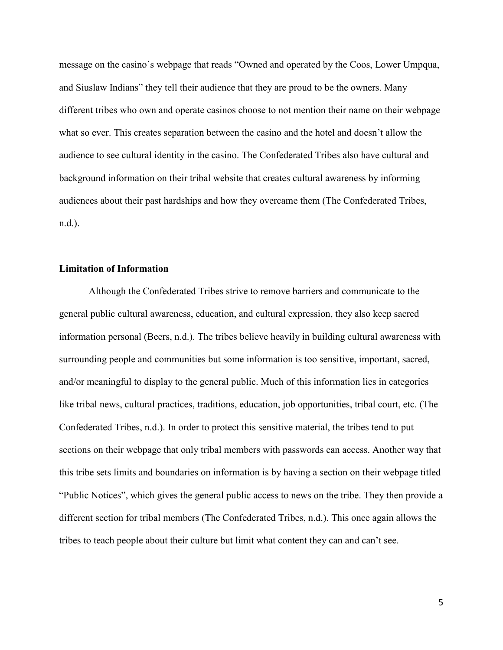message on the casino's webpage that reads "Owned and operated by the Coos, Lower Umpqua, and Siuslaw Indians" they tell their audience that they are proud to be the owners. Many different tribes who own and operate casinos choose to not mention their name on their webpage what so ever. This creates separation between the casino and the hotel and doesn't allow the audience to see cultural identity in the casino. The Confederated Tribes also have cultural and background information on their tribal website that creates cultural awareness by informing audiences about their past hardships and how they overcame them (The Confederated Tribes, n.d.).

# Limitation of Information

Although the Confederated Tribes strive to remove barriers and communicate to the general public cultural awareness, education, and cultural expression, they also keep sacred information personal (Beers, n.d.). The tribes believe heavily in building cultural awareness with surrounding people and communities but some information is too sensitive, important, sacred, and/or meaningful to display to the general public. Much of this information lies in categories like tribal news, cultural practices, traditions, education, job opportunities, tribal court, etc. (The Confederated Tribes, n.d.). In order to protect this sensitive material, the tribes tend to put sections on their webpage that only tribal members with passwords can access. Another way that this tribe sets limits and boundaries on information is by having a section on their webpage titled "Public Notices", which gives the general public access to news on the tribe. They then provide a different section for tribal members (The Confederated Tribes, n.d.). This once again allows the tribes to teach people about their culture but limit what content they can and can't see.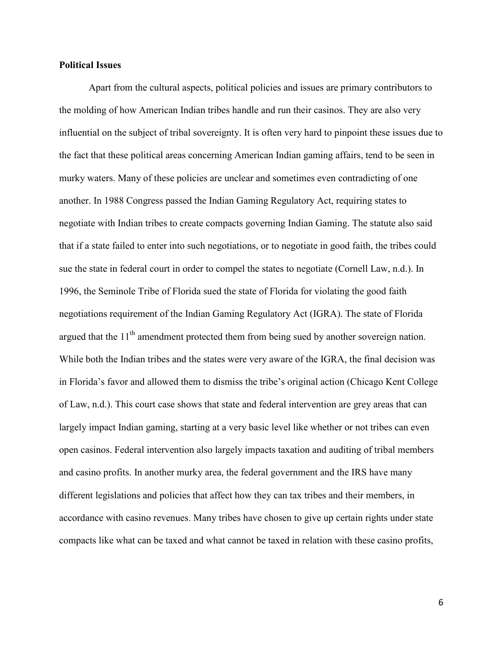# Political Issues

Apart from the cultural aspects, political policies and issues are primary contributors to the molding of how American Indian tribes handle and run their casinos. They are also very influential on the subject of tribal sovereignty. It is often very hard to pinpoint these issues due to the fact that these political areas concerning American Indian gaming affairs, tend to be seen in murky waters. Many of these policies are unclear and sometimes even contradicting of one another. In 1988 Congress passed the Indian Gaming Regulatory Act, requiring states to negotiate with Indian tribes to create compacts governing Indian Gaming. The statute also said that if a state failed to enter into such negotiations, or to negotiate in good faith, the tribes could sue the state in federal court in order to compel the states to negotiate (Cornell Law, n.d.). In 1996, the Seminole Tribe of Florida sued the state of Florida for violating the good faith negotiations requirement of the Indian Gaming Regulatory Act (IGRA). The state of Florida argued that the  $11<sup>th</sup>$  amendment protected them from being sued by another sovereign nation. While both the Indian tribes and the states were very aware of the IGRA, the final decision was in Florida's favor and allowed them to dismiss the tribe's original action (Chicago Kent College of Law, n.d.). This court case shows that state and federal intervention are grey areas that can largely impact Indian gaming, starting at a very basic level like whether or not tribes can even open casinos. Federal intervention also largely impacts taxation and auditing of tribal members and casino profits. In another murky area, the federal government and the IRS have many different legislations and policies that affect how they can tax tribes and their members, in accordance with casino revenues. Many tribes have chosen to give up certain rights under state compacts like what can be taxed and what cannot be taxed in relation with these casino profits,

6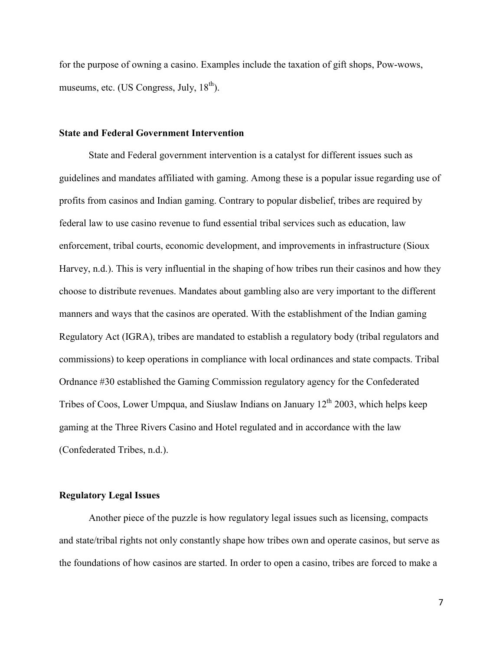for the purpose of owning a casino. Examples include the taxation of gift shops, Pow-wows, museums, etc. (US Congress, July, 18<sup>th</sup>).

#### State and Federal Government Intervention

State and Federal government intervention is a catalyst for different issues such as guidelines and mandates affiliated with gaming. Among these is a popular issue regarding use of profits from casinos and Indian gaming. Contrary to popular disbelief, tribes are required by federal law to use casino revenue to fund essential tribal services such as education, law enforcement, tribal courts, economic development, and improvements in infrastructure (Sioux Harvey, n.d.). This is very influential in the shaping of how tribes run their casinos and how they choose to distribute revenues. Mandates about gambling also are very important to the different manners and ways that the casinos are operated. With the establishment of the Indian gaming Regulatory Act (IGRA), tribes are mandated to establish a regulatory body (tribal regulators and commissions) to keep operations in compliance with local ordinances and state compacts. Tribal Ordnance #30 established the Gaming Commission regulatory agency for the Confederated Tribes of Coos, Lower Umpqua, and Siuslaw Indians on January  $12<sup>th</sup> 2003$ , which helps keep gaming at the Three Rivers Casino and Hotel regulated and in accordance with the law (Confederated Tribes, n.d.).

# Regulatory Legal Issues

Another piece of the puzzle is how regulatory legal issues such as licensing, compacts and state/tribal rights not only constantly shape how tribes own and operate casinos, but serve as the foundations of how casinos are started. In order to open a casino, tribes are forced to make a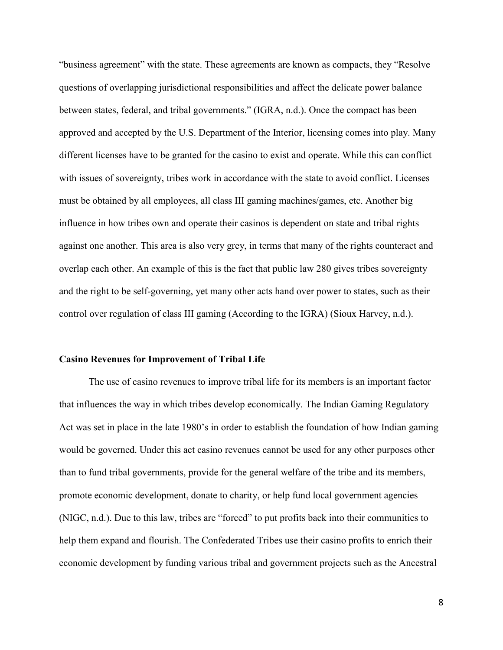"business agreement" with the state. These agreements are known as compacts, they "Resolve questions of overlapping jurisdictional responsibilities and affect the delicate power balance between states, federal, and tribal governments." (IGRA, n.d.). Once the compact has been approved and accepted by the U.S. Department of the Interior, licensing comes into play. Many different licenses have to be granted for the casino to exist and operate. While this can conflict with issues of sovereignty, tribes work in accordance with the state to avoid conflict. Licenses must be obtained by all employees, all class III gaming machines/games, etc. Another big influence in how tribes own and operate their casinos is dependent on state and tribal rights against one another. This area is also very grey, in terms that many of the rights counteract and overlap each other. An example of this is the fact that public law 280 gives tribes sovereignty and the right to be self-governing, yet many other acts hand over power to states, such as their control over regulation of class III gaming (According to the IGRA) (Sioux Harvey, n.d.).

### Casino Revenues for Improvement of Tribal Life

The use of casino revenues to improve tribal life for its members is an important factor that influences the way in which tribes develop economically. The Indian Gaming Regulatory Act was set in place in the late 1980's in order to establish the foundation of how Indian gaming would be governed. Under this act casino revenues cannot be used for any other purposes other than to fund tribal governments, provide for the general welfare of the tribe and its members, promote economic development, donate to charity, or help fund local government agencies (NIGC, n.d.). Due to this law, tribes are "forced" to put profits back into their communities to help them expand and flourish. The Confederated Tribes use their casino profits to enrich their economic development by funding various tribal and government projects such as the Ancestral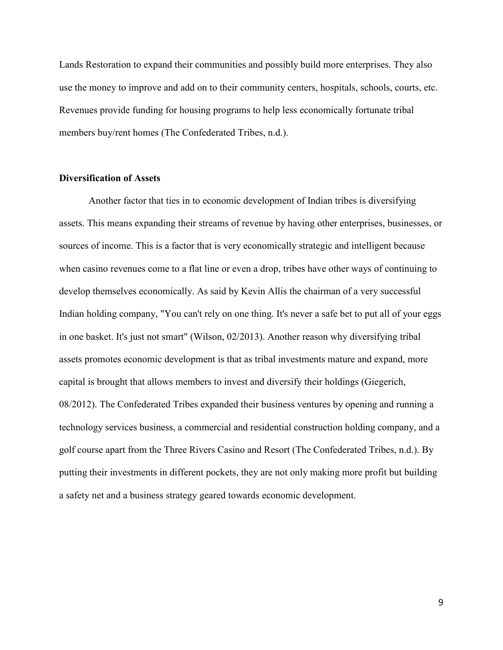Lands Restoration to expand their communities and possibly build more enterprises. They also use the money to improve and add on to their community centers, hospitals, schools, courts, etc. Revenues provide funding for housing programs to help less economically fortunate tribal members buy/rent homes (The Confederated Tribes, n.d.).

# Diversification of Assets

Another factor that ties in to economic development of Indian tribes is diversifying assets. This means expanding their streams of revenue by having other enterprises, businesses, or sources of income. This is a factor that is very economically strategic and intelligent because when casino revenues come to a flat line or even a drop, tribes have other ways of continuing to develop themselves economically. As said by Kevin Allis the chairman of a very successful Indian holding company, "You can't rely on one thing. It's never a safe bet to put all of your eggs in one basket. It's just not smart" (Wilson, 02/2013). Another reason why diversifying tribal assets promotes economic development is that as tribal investments mature and expand, more capital is brought that allows members to invest and diversify their holdings (Giegerich, 08/2012). The Confederated Tribes expanded their business ventures by opening and running a technology services business, a commercial and residential construction holding company, and a golf course apart from the Three Rivers Casino and Resort (The Confederated Tribes, n.d.). By putting their investments in different pockets, they are not only making more profit but building a safety net and a business strategy geared towards economic development.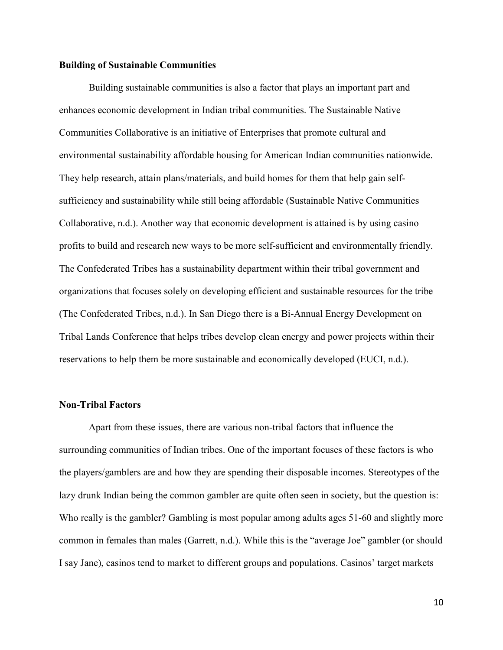# Building of Sustainable Communities

Building sustainable communities is also a factor that plays an important part and enhances economic development in Indian tribal communities. The Sustainable Native Communities Collaborative is an initiative of Enterprises that promote cultural and environmental sustainability affordable housing for American Indian communities nationwide. They help research, attain plans/materials, and build homes for them that help gain selfsufficiency and sustainability while still being affordable (Sustainable Native Communities Collaborative, n.d.). Another way that economic development is attained is by using casino profits to build and research new ways to be more self-sufficient and environmentally friendly. The Confederated Tribes has a sustainability department within their tribal government and organizations that focuses solely on developing efficient and sustainable resources for the tribe (The Confederated Tribes, n.d.). In San Diego there is a Bi-Annual Energy Development on Tribal Lands Conference that helps tribes develop clean energy and power projects within their reservations to help them be more sustainable and economically developed (EUCI, n.d.).

#### Non-Tribal Factors

Apart from these issues, there are various non-tribal factors that influence the surrounding communities of Indian tribes. One of the important focuses of these factors is who the players/gamblers are and how they are spending their disposable incomes. Stereotypes of the lazy drunk Indian being the common gambler are quite often seen in society, but the question is: Who really is the gambler? Gambling is most popular among adults ages 51-60 and slightly more common in females than males (Garrett, n.d.). While this is the "average Joe" gambler (or should I say Jane), casinos tend to market to different groups and populations. Casinos' target markets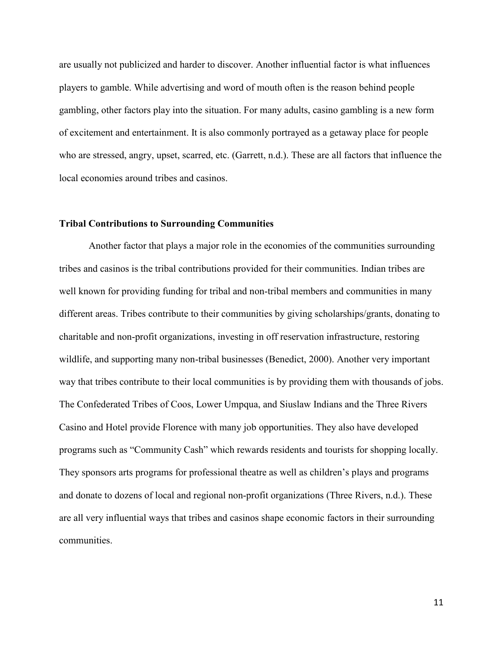are usually not publicized and harder to discover. Another influential factor is what influences players to gamble. While advertising and word of mouth often is the reason behind people gambling, other factors play into the situation. For many adults, casino gambling is a new form of excitement and entertainment. It is also commonly portrayed as a getaway place for people who are stressed, angry, upset, scarred, etc. (Garrett, n.d.). These are all factors that influence the local economies around tribes and casinos.

## Tribal Contributions to Surrounding Communities

Another factor that plays a major role in the economies of the communities surrounding tribes and casinos is the tribal contributions provided for their communities. Indian tribes are well known for providing funding for tribal and non-tribal members and communities in many different areas. Tribes contribute to their communities by giving scholarships/grants, donating to charitable and non-profit organizations, investing in off reservation infrastructure, restoring wildlife, and supporting many non-tribal businesses (Benedict, 2000). Another very important way that tribes contribute to their local communities is by providing them with thousands of jobs. The Confederated Tribes of Coos, Lower Umpqua, and Siuslaw Indians and the Three Rivers Casino and Hotel provide Florence with many job opportunities. They also have developed programs such as "Community Cash" which rewards residents and tourists for shopping locally. They sponsors arts programs for professional theatre as well as children's plays and programs and donate to dozens of local and regional non-profit organizations (Three Rivers, n.d.). These are all very influential ways that tribes and casinos shape economic factors in their surrounding communities.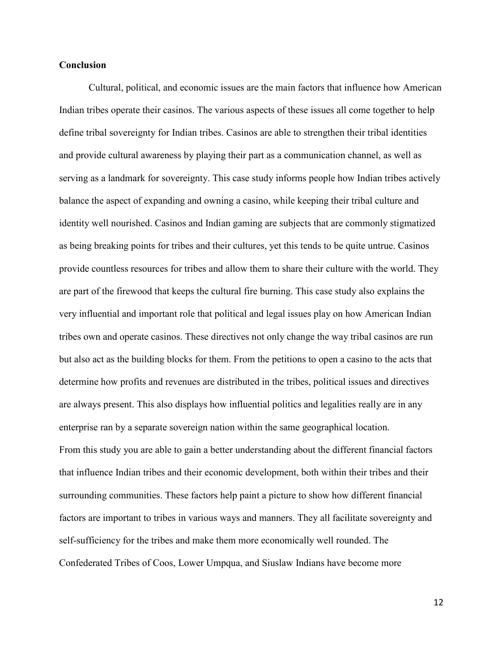# **Conclusion**

Cultural, political, and economic issues are the main factors that influence how American Indian tribes operate their casinos. The various aspects of these issues all come together to help define tribal sovereignty for Indian tribes. Casinos are able to strengthen their tribal identities and provide cultural awareness by playing their part as a communication channel, as well as serving as a landmark for sovereignty. This case study informs people how Indian tribes actively balance the aspect of expanding and owning a casino, while keeping their tribal culture and identity well nourished. Casinos and Indian gaming are subjects that are commonly stigmatized as being breaking points for tribes and their cultures, yet this tends to be quite untrue. Casinos provide countless resources for tribes and allow them to share their culture with the world. They are part of the firewood that keeps the cultural fire burning. This case study also explains the very influential and important role that political and legal issues play on how American Indian tribes own and operate casinos. These directives not only change the way tribal casinos are run but also act as the building blocks for them. From the petitions to open a casino to the acts that determine how profits and revenues are distributed in the tribes, political issues and directives are always present. This also displays how influential politics and legalities really are in any enterprise ran by a separate sovereign nation within the same geographical location. From this study you are able to gain a better understanding about the different financial factors that influence Indian tribes and their economic development, both within their tribes and their surrounding communities. These factors help paint a picture to show how different financial factors are important to tribes in various ways and manners. They all facilitate sovereignty and self-sufficiency for the tribes and make them more economically well rounded. The Confederated Tribes of Coos, Lower Umpqua, and Siuslaw Indians have become more

12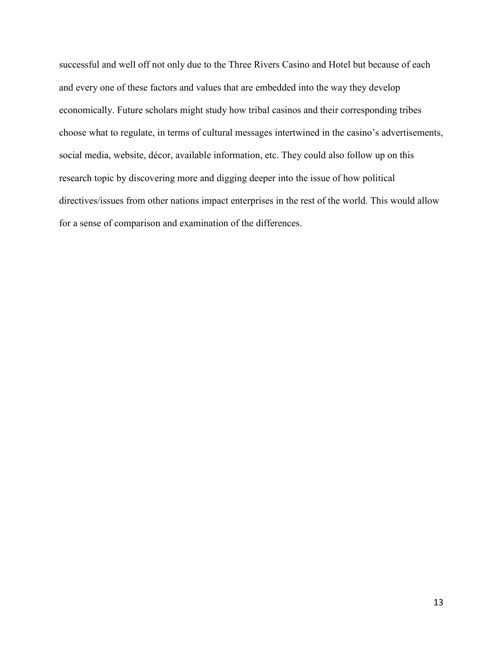successful and well off not only due to the Three Rivers Casino and Hotel but because of each and every one of these factors and values that are embedded into the way they develop economically. Future scholars might study how tribal casinos and their corresponding tribes choose what to regulate, in terms of cultural messages intertwined in the casino's advertisements, social media, website, décor, available information, etc. They could also follow up on this research topic by discovering more and digging deeper into the issue of how political directives/issues from other nations impact enterprises in the rest of the world. This would allow for a sense of comparison and examination of the differences.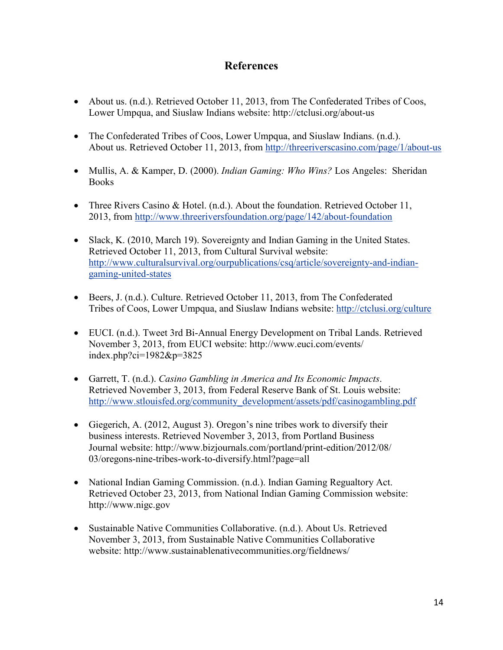# **References**

- About us. (n.d.). Retrieved October 11, 2013, from The Confederated Tribes of Coos, Lower Umpqua, and Siuslaw Indians website: http://ctclusi.org/about-us
- The Confederated Tribes of Coos, Lower Umpqua, and Siuslaw Indians. (n.d.). About us. Retrieved October 11, 2013, from<http://threeriverscasino.com/page/1/about-us>
- Mullis, A. & Kamper, D. (2000). *Indian Gaming: Who Wins?* Los Angeles: Sheridan **Books**
- Three Rivers Casino & Hotel. (n.d.). About the foundation. Retrieved October 11, 2013, from <http://www.threeriversfoundation.org/page/142/about-foundation>
- Slack, K. (2010, March 19). Sovereignty and Indian Gaming in the United States. Retrieved October 11, 2013, from Cultural Survival website: [http://www.culturalsurvival.org/ourpublications/csq/article/sovereignty-and-indian](http://www.culturalsurvival.org/ourpublications/csq/article/sovereignty-and-indian-gaming-united-states)[gaming-united-states](http://www.culturalsurvival.org/ourpublications/csq/article/sovereignty-and-indian-gaming-united-states)
- Beers, J. (n.d.). Culture. Retrieved October 11, 2013, from The Confederated Tribes of Coos, Lower Umpqua, and Siuslaw Indians website:<http://ctclusi.org/culture>
- EUCI. (n.d.). Tweet 3rd Bi-Annual Energy Development on Tribal Lands. Retrieved November 3, 2013, from EUCI website: http://www.euci.com/events/ index.php?ci=1982&p=3825
- Garrett, T. (n.d.). *Casino Gambling in America and Its Economic Impacts*. Retrieved November 3, 2013, from Federal Reserve Bank of St. Louis website: [http://www.stlouisfed.org/community\\_development/assets/pdf/casinogambling.pdf](http://www.stlouisfed.org/community_development/assets/pdf/casinogambling.pdf)
- Giegerich, A. (2012, August 3). Oregon's nine tribes work to diversify their business interests. Retrieved November 3, 2013, from Portland Business Journal website: http://www.bizjournals.com/portland/print-edition/2012/08/ 03/oregons-nine-tribes-work-to-diversify.html?page=all
- National Indian Gaming Commission. (n.d.). Indian Gaming Regualtory Act. Retrieved October 23, 2013, from National Indian Gaming Commission website: http://www.nigc.gov
- Sustainable Native Communities Collaborative. (n.d.). About Us. Retrieved November 3, 2013, from Sustainable Native Communities Collaborative website: http://www.sustainablenativecommunities.org/fieldnews/